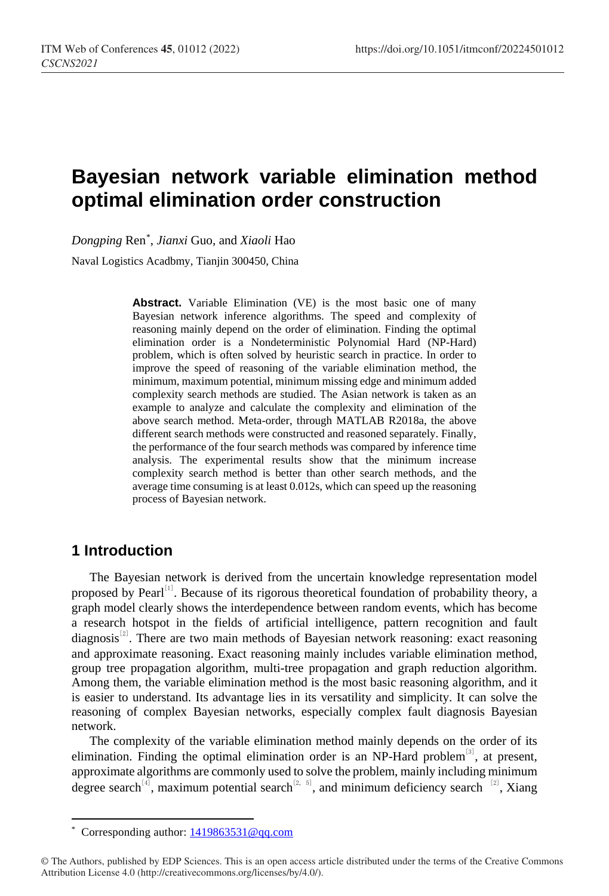# **Bayesian network variable elimination method optimal elimination order construction**

*Dongping* Ren[\\*](#page-0-0) , *Jianxi* Guo, and *Xiaoli* Hao

Naval Logistics Acadbmy, Tianjin 300450, China

**Abstract.** Variable Elimination (VE) is the most basic one of many Bayesian network inference algorithms. The speed and complexity of reasoning mainly depend on the order of elimination. Finding the optimal elimination order is a Nondeterministic Polynomial Hard (NP-Hard) problem, which is often solved by heuristic search in practice. In order to improve the speed of reasoning of the variable elimination method, the minimum, maximum potential, minimum missing edge and minimum added complexity search methods are studied. The Asian network is taken as an example to analyze and calculate the complexity and elimination of the above search method. Meta-order, through MATLAB R2018a, the above different search methods were constructed and reasoned separately. Finally, the performance of the four search methods was compared by inference time analysis. The experimental results show that the minimum increase complexity search method is better than other search methods, and the average time consuming is at least 0.012s, which can speed up the reasoning process of Bayesian network.

### **1 Introduction**

l

The Bayesian network is derived from the uncertain knowledge representation model proposed by Pearl<sup>[1]</sup>. Because of its rigorous theoretical foundation of probability theory, a graph model clearly shows the interdependence between random events, which has become a research hotspot in the fields of artificial intelligence, pattern recognition and fault diagnosis $^{[2]}$ . There are two main methods of Bayesian network reasoning: exact reasoning and approximate reasoning. Exact reasoning mainly includes variable elimination method, group tree propagation algorithm, multi-tree propagation and graph reduction algorithm. Among them, the variable elimination method is the most basic reasoning algorithm, and it is easier to understand. Its advantage lies in its versatility and simplicity. It can solve the reasoning of complex Bayesian networks, especially complex fault diagnosis Bayesian network.

The complexity of the variable elimination method mainly depends on the order of its elimination. Finding the optimal elimination order is an NP-Hard problem<sup>[3]</sup>, at present, approximate algorithms are commonly used to solve the problem, mainly including minimum degree search<sup>[4]</sup>, maximum potential search<sup>[2, 5]</sup>, and minimum deficiency search <sup>[2]</sup>, Xiang

<sup>\*</sup> Corresponding author: [1419863531@qq.com](mailto:1419863531@qq.com)

<span id="page-0-0"></span><sup>©</sup> The Authors, published by EDP Sciences. This is an open access article distributed under the terms of the Creative Commons Attribution License 4.0 (http://creativecommons.org/licenses/by/4.0/).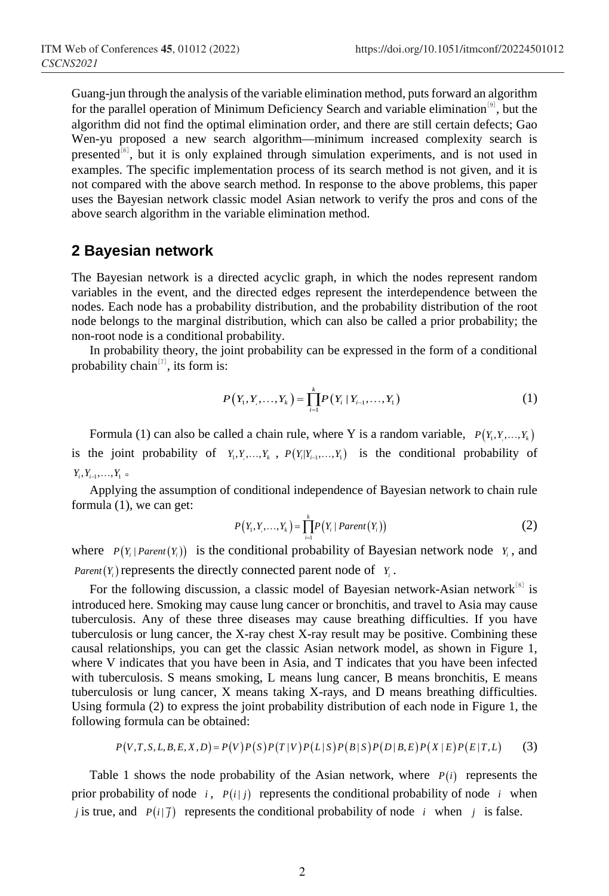Guang-jun through the analysis of the variable elimination method, puts forward an algorithm for the parallel operation of Minimum Deficiency Search and variable elimination<sup>[9]</sup>, but the algorithm did not find the optimal elimination order, and there are still certain defects; Gao Wen-yu proposed a new search algorithm—minimum increased complexity search is presented<sup>[6]</sup>, but it is only explained through simulation experiments, and is not used in examples. The specific implementation process of its search method is not given, and it is not compared with the above search method. In response to the above problems, this paper uses the Bayesian network classic model Asian network to verify the pros and cons of the above search algorithm in the variable elimination method.

### **2 Bayesian network**

The Bayesian network is a directed acyclic graph, in which the nodes represent random variables in the event, and the directed edges represent the interdependence between the nodes. Each node has a probability distribution, and the probability distribution of the root node belongs to the marginal distribution, which can also be called a prior probability; the non-root node is a conditional probability.

In probability theory, the joint probability can be expressed in the form of a conditional probability chain<sup>[7]</sup>, its form is:

$$
P(Y_1, Y_1, \dots, Y_k) = \prod_{i=1}^k P(Y_i | Y_{i-1}, \dots, Y_1)
$$
\n(1)

Formula (1) can also be called a chain rule, where Y is a random variable,  $P(Y_1, Y_2, ..., Y_k)$ is the joint probability of  $Y_1, Y_2, \ldots, Y_k$ ,  $P(Y_i|Y_{i-1}, \ldots, Y_1)$  is the conditional probability of  $Y_i, Y_{i-1}, \ldots, Y_1$  ∘

Applying the assumption of conditional independence of Bayesian network to chain rule formula (1), we can get:

$$
P(Y_1, Y_1, ..., Y_k) = \prod_{i=1}^k P(Y_i | Parent(Y_i))
$$
 (2)

where  $P(Y_i | Parent(Y_i))$  is the conditional probability of Bayesian network node  $Y_i$ , and *Parent*  $(Y_i)$  represents the directly connected parent node of  $Y_i$ .

For the following discussion, a classic model of Bayesian network-Asian network $[8]$  is introduced here. Smoking may cause lung cancer or bronchitis, and travel to Asia may cause tuberculosis. Any of these three diseases may cause breathing difficulties. If you have tuberculosis or lung cancer, the X-ray chest X-ray result may be positive. Combining these causal relationships, you can get the classic Asian network model, as shown in Figure 1, where V indicates that you have been in Asia, and T indicates that you have been infected with tuberculosis. S means smoking, L means lung cancer, B means bronchitis, E means tuberculosis or lung cancer, X means taking X-rays, and D means breathing difficulties. Using formula (2) to express the joint probability distribution of each node in Figure 1, the following formula can be obtained:

$$
P(V,T,S,L,B,E,X,D) = P(V)P(S)P(T|V)P(L|S)P(B|S)P(D|B,E)P(X|E)P(E|T,L)
$$
 (3)

Table 1 shows the node probability of the Asian network, where  $P(i)$  represents the prior probability of node  $i$ ,  $P(i|j)$  represents the conditional probability of node  $i$  when *j* is true, and  $P(i|\overline{j})$  represents the conditional probability of node *i* when *j* is false.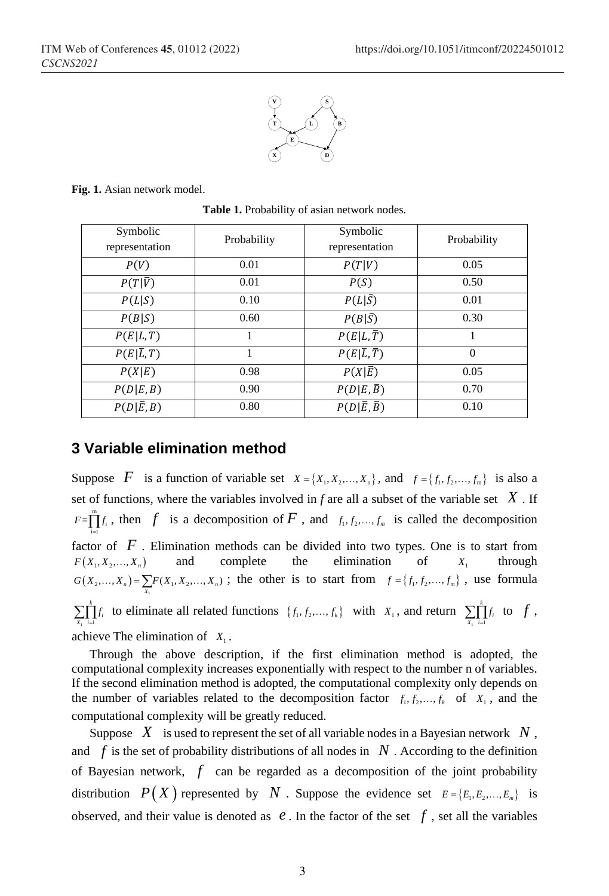

**Fig. 1.** Asian network model.

**Table 1.** Probability of asian network nodes.

| Symbolic<br>representation | Probability | Symbolic<br>representation        | Probability |
|----------------------------|-------------|-----------------------------------|-------------|
| P(V)                       | 0.01        | P(T V)                            | 0.05        |
| $P(T \overline{V})$        | 0.01        | P(S)                              | 0.50        |
| P(L S)                     | 0.10        | $P(L \bar{S})$                    | 0.01        |
| P(B S)                     | 0.60        | $P(B \bar{S})$                    | 0.30        |
| P(E L,T)                   |             | $P(E L,\overline{T})$             |             |
| $P(E \overline{L},T)$      |             | $P(E \overline{L}, \overline{T})$ | $\Omega$    |
| P(X E)                     | 0.98        | $P(X \overline{E})$               | 0.05        |
| P(D E,B)                   | 0.90        | $P(D E,\overline{B})$             | 0.70        |
| $P(D \overline{E},B)$      | 0.80        | $P(D \overline{E},\overline{B})$  | 0.10        |

### **3 Variable elimination method**

Suppose *F* is a function of variable set  $X = \{X_1, X_2, ..., X_n\}$ , and  $f = \{f_1, f_2, ..., f_m\}$  is also a set of functions, where the variables involved in *f* are all a subset of the variable set  $\hat{X}$ . If  $F = \prod_{i=1}^{m} f_i$ , then *f* is a decomposition of *F*, and  $f_1, f_2, ..., f_m$  is called the decomposition factor of *F* . Elimination methods can be divided into two types. One is to start from  $F(X_1, X_2, \ldots, X_n)$  and complete the elimination of  $X_1$  through  $G(X_2,...,X_n) = \sum_{X_1} F(X_1, X_2,...,X_n)$ ; the other is to start from  $f = \{f_1, f_2,...,f_m\}$ , use formula  $i=1$ *k*  $\sum_{X_i} \prod_{i=1}^k f_i$  to eliminate all related functions  $\{f_1, f_2, ..., f_k\}$  with  $X_1$ , and return  $\sum_{X_i} \prod_{i=1}^k f_i$  $\sum_{X_i} \prod_{i=1}^n f_i$  to  $f$ , achieve The elimination of  $X_1$ .

Through the above description, if the first elimination method is adopted, the computational complexity increases exponentially with respect to the number n of variables. If the second elimination method is adopted, the computational complexity only depends on the number of variables related to the decomposition factor  $f_1, f_2, ..., f_k$  of  $X_1$ , and the computational complexity will be greatly reduced.

Suppose  $X$  is used to represent the set of all variable nodes in a Bayesian network  $N$ , and  $f$  is the set of probability distributions of all nodes in  $N$ . According to the definition of Bayesian network, *f* can be regarded as a decomposition of the joint probability distribution  $P(X)$  represented by *N*. Suppose the evidence set  $E = \{E_1, E_2, ..., E_m\}$  is observed, and their value is denoted as  $e$ . In the factor of the set  $f$ , set all the variables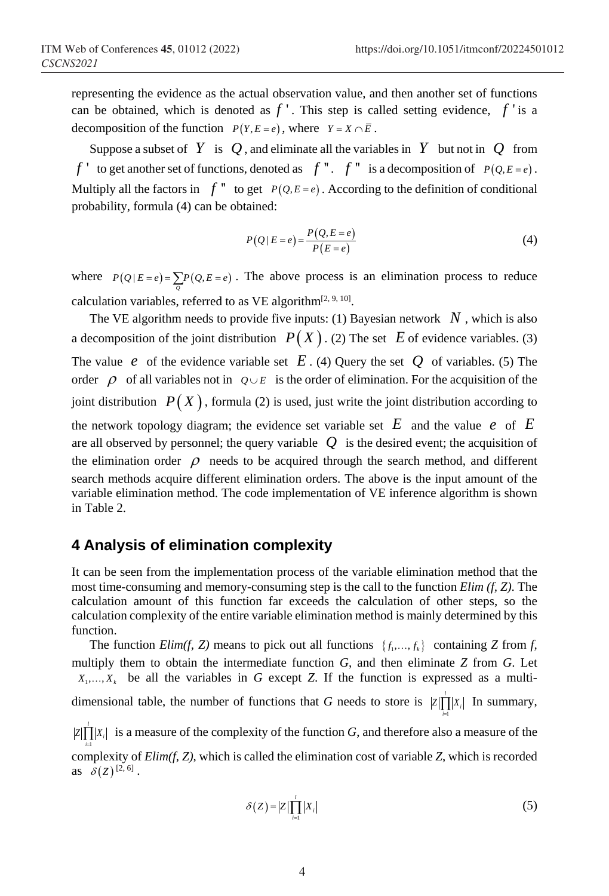representing the evidence as the actual observation value, and then another set of functions can be obtained, which is denoted as  $f'$ . This step is called setting evidence,  $f'$  is a decomposition of the function  $P(Y, E = e)$ , where  $Y = X \cap \overline{E}$ .

Suppose a subset of *Y* is *Q*, and eliminate all the variables in *Y* but not in *Q* from *f* ' to get another set of functions, denoted as  $f''$ .  $f''$  is a decomposition of  $P(Q, E = e)$ . Multiply all the factors in  $f''$  to get  $P(Q, E = e)$ . According to the definition of conditional probability, formula (4) can be obtained:

$$
P(Q \mid E = e) = \frac{P(Q, E = e)}{P(E = e)}
$$
\n<sup>(4)</sup>

where  $P(Q | E = e) = \sum_{Q} P(Q, E = e)$ . The above process is an elimination process to reduce calculation variables, referred to as VE algorithm<sup>[2, 9, 10]</sup>.

The VE algorithm needs to provide five inputs: (1) Bayesian network  $N$ , which is also a decomposition of the joint distribution  $P(X)$ . (2) The set *E* of evidence variables. (3) The value *e* of the evidence variable set *E* . (4) Query the set *Q* of variables. (5) The order  $\rho$  of all variables not in  $\rho \cup E$  is the order of elimination. For the acquisition of the joint distribution  $P(X)$ , formula (2) is used, just write the joint distribution according to the network topology diagram; the evidence set variable set  $E$  and the value  $e$  of  $E$ are all observed by personnel; the query variable  $Q$  is the desired event; the acquisition of the elimination order  $\rho$  needs to be acquired through the search method, and different search methods acquire different elimination orders. The above is the input amount of the variable elimination method. The code implementation of VE inference algorithm is shown in Table 2.

### **4 Analysis of elimination complexity**

It can be seen from the implementation process of the variable elimination method that the most time-consuming and memory-consuming step is the call to the function *Elim (f, Z)*. The calculation amount of this function far exceeds the calculation of other steps, so the calculation complexity of the entire variable elimination method is mainly determined by this function.

The function *Elim(f, Z)* means to pick out all functions  $\{f_1, \ldots, f_k\}$  containing *Z* from *f*, multiply them to obtain the intermediate function *G*, and then eliminate *Z* from *G*. Let  $X_1, \ldots, X_k$  be all the variables in G except Z. If the function is expressed as a multidimensional table, the number of functions that *G* needs to store is  $|z|$  $Z \prod |X_i|$  In summary, *i* = *l*  $Z\left|\prod_{i=1}^{n}X_{i}\right|$  is a measure of the complexity of the function *G*, and therefore also a measure of the *i* = complexity of *Elim(f, Z)*, which is called the elimination cost of variable *Z*, which is recorded as  $\delta(Z)^{[2,6]}$ .

$$
\delta(Z) = |Z| \prod_{i=1}^{I} |X_i| \tag{5}
$$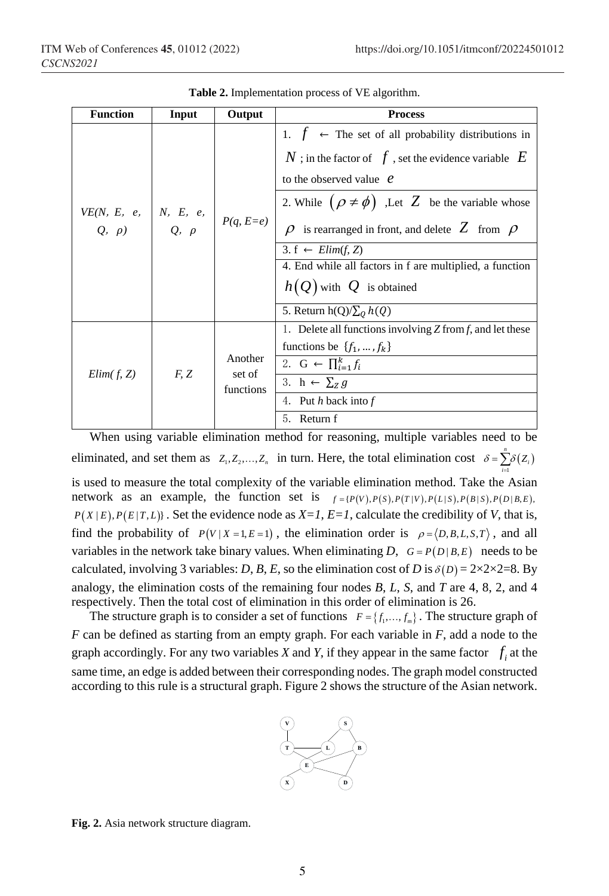| <b>Function</b>                                     | Input | Output                         | <b>Process</b>                                                                                                                                                                                                                                                                                                                                                                                                                                        |
|-----------------------------------------------------|-------|--------------------------------|-------------------------------------------------------------------------------------------------------------------------------------------------------------------------------------------------------------------------------------------------------------------------------------------------------------------------------------------------------------------------------------------------------------------------------------------------------|
| VE(N, E, e, $N$ , E, e, $Q$ , $\rho$ ) $Q$ , $\rho$ |       | $P(q, E=e)$                    | 1. $f \leftarrow$ The set of all probability distributions in<br>N ; in the factor of $f$ , set the evidence variable $E$<br>to the observed value $\mathcal{C}$<br>2. While $(\rho \neq \phi)$ , Let Z be the variable whose<br>$\rho$ is rearranged in front, and delete Z from $\rho$<br>3. f $\leftarrow$ Elim(f, Z)<br>4. End while all factors in f are multiplied, a function<br>$h(Q)$ with $Q$ is obtained<br>5. Return $h(Q)/\sum_{Q} h(Q)$ |
| Elim(f, Z)                                          | F, Z  | Another<br>set of<br>functions | 1. Delete all functions involving $Z$ from $f$ , and let these<br>functions be $\{f_1, , f_k\}$<br>2. G $\leftarrow$ $\prod_{i=1}^{k} f_i$<br>3. h $\leftarrow$ $\Sigma_z g$<br>4. Put $h$ back into $f$<br>5.<br>Return f                                                                                                                                                                                                                            |

**Table 2.** Implementation process of VE algorithm.

When using variable elimination method for reasoning, multiple variables need to be eliminated, and set them as  $Z_1, Z_2, ..., Z_n$  in turn. Here, the total elimination cost  $\delta = \sum_{i=1}^{n} \delta(Z_i)$ 1  $\delta = \sum \delta (Z_i)$ *i* = is used to measure the total complexity of the variable elimination method. Take the Asian network as an example, the function set is  $f = {P(V), P(S), P(T|V), P(L|S), P(B|S), P(D|B,E)}$  $P(X | E), P(E | T, L)$ . Set the evidence node as  $X = I$ ,  $E = I$ , calculate the credibility of *V*, that is, find the probability of  $P(V | X = 1, E = 1)$ , the elimination order is  $\rho = \langle D, B, L, S, T \rangle$ , and all variables in the network take binary values. When eliminating *D*,  $G = P(D|B, E)$  needs to be calculated, involving 3 variables: *D*, *B*, *E*, so the elimination cost of *D* is  $\delta(D) = 2 \times 2 \times 2 = 8$ . By analogy, the elimination costs of the remaining four nodes *B*, *L*, *S*, and *T* are 4, 8, 2, and 4 respectively. Then the total cost of elimination in this order of elimination is 26.

The structure graph is to consider a set of functions  $F = \{f_1, \ldots, f_m\}$ . The structure graph of *F* can be defined as starting from an empty graph. For each variable in *F*, add a node to the graph accordingly. For any two variables *X* and *Y*, if they appear in the same factor  $f_i$  at the same time, an edge is added between their corresponding nodes. The graph model constructed according to this rule is a structural graph. Figure 2 shows the structure of the Asian network.



**Fig. 2.** Asia network structure diagram.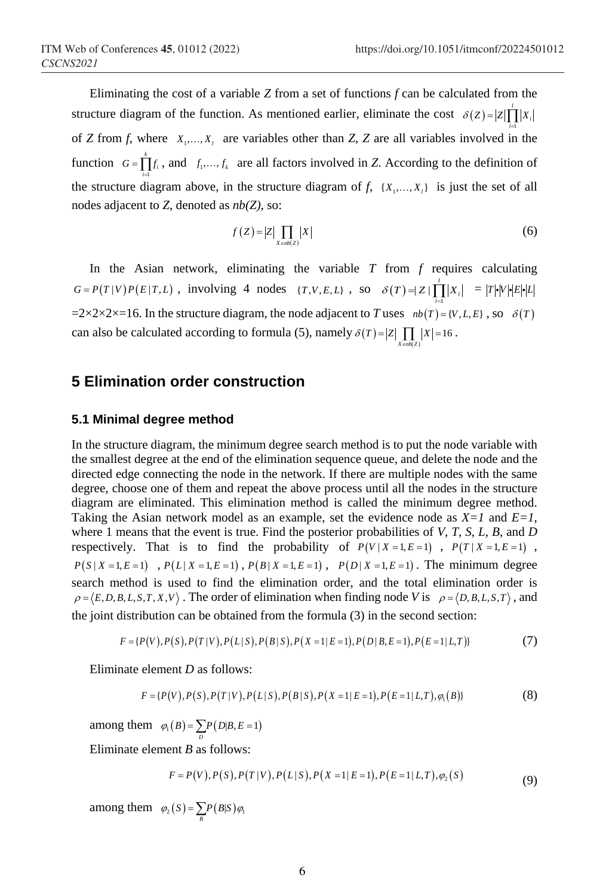Eliminating the cost of a variable *Z* from a set of functions *f* can be calculated from the structure diagram of the function. As mentioned earlier, eliminate the cost  $\delta(Z) = |Z| \int_0^R$ 1  $\delta(Z) = |Z| \prod |X_i|$ *i* = of *Z* from *f*, where  $X_1, \ldots, X_k$  are variables other than *Z*, *Z* are all variables involved in the function  $G = \prod_{i=1}^{k}$  $G = \prod f_i$ , and  $f_1, \ldots, f_k$  are all factors involved in *Z*. According to the definition of *i* = the structure diagram above, in the structure diagram of  $f$ ,  $\{X_1, \ldots, X_l\}$  is just the set of all nodes adjacent to *Z*, denoted as *nb(Z)*, so:

$$
f(Z) = |Z| \prod_{X \in nb(Z)} |X|
$$
 (6)

In the Asian network, eliminating the variable  $T$  from  $f$  requires calculating  $G = P(T|V)P(E|T,L)$ , involving 4 nodes  $\{T, V, E, L\}$ , so  $\delta(T) = |Z| \prod_{i=1}^{l}$  $\delta(T) = Z \mid \prod_{i=1}^{n} |X_i| = |T| \cdot |V| \cdot |E| \cdot |L|$  $=2\times2\times2\times=16$ . In the structure diagram, the node adjacent to *T* uses  $nb(T) = \{V, L, E\}$ , so  $\delta(T)$ can also be calculated according to formula (5), namely  $\delta(T) = |Z| \prod_{X \in \text{sub}(Z)} |X| = 16$ .

### **5 Elimination order construction**

#### **5.1 Minimal degree method**

In the structure diagram, the minimum degree search method is to put the node variable with the smallest degree at the end of the elimination sequence queue, and delete the node and the directed edge connecting the node in the network. If there are multiple nodes with the same degree, choose one of them and repeat the above process until all the nodes in the structure diagram are eliminated. This elimination method is called the minimum degree method. Taking the Asian network model as an example, set the evidence node as *X=1* and *E=1*, where 1 means that the event is true. Find the posterior probabilities of *V*, *T*, *S*, *L*, *B*, and *D* respectively. That is to find the probability of  $P(V | X = 1, E = 1)$ ,  $P(T | X = 1, E = 1)$ ,  $P(S | X = 1, E = 1)$ ,  $P(L | X = 1, E = 1)$ ,  $P(B | X = 1, E = 1)$ ,  $P(D | X = 1, E = 1)$ . The minimum degree search method is used to find the elimination order, and the total elimination order is  $\rho = \langle E, D, B, L, S, T, X, V \rangle$ . The order of elimination when finding node *V* is  $\rho = \langle D, B, L, S, T \rangle$ , and the joint distribution can be obtained from the formula (3) in the second section:

$$
F = \{P(V), P(S), P(T|V), P(L|S), P(B|S), P(X=1|E=1), P(D|B,E=1), P(E=1|L,T)\}\tag{7}
$$

Eliminate element *D* as follows:

$$
F = \{P(V), P(S), P(T|V), P(L|S), P(B|S), P(X=1|E=1), P(E=1|L,T), \varphi_1(B)\}\
$$
\n(8)

among them  $\varphi_1 ( B ) = \sum P ( D | B, E = 1)$ *D*

Eliminate element *B* as follows:

$$
F = P(V), P(S), P(T|V), P(L|S), P(X=1|E=1), P(E=1|L,T), \varphi_2(S)
$$
\n(9)

among them  $\varphi_2(S) = \sum_B P(B|S) \varphi_1$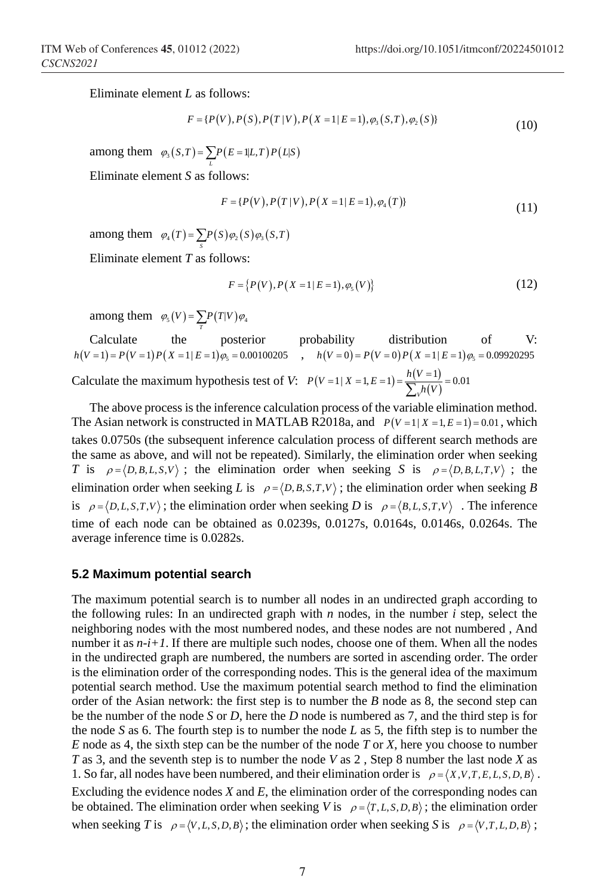Eliminate element *L* as follows:

$$
F = \{P(V), P(S), P(T|V), P(X=1|E=1), \varphi_3(S,T), \varphi_2(S)\}
$$
\n(10)

among them  $\varphi_3(S,T) = \sum_{L} P(E = 1 | L, T) P(L|S)$ 

Eliminate element *S* as follows:

$$
F = \{P(V), P(T|V), P(X=1|E=1), \varphi_4(T)\}\tag{11}
$$

among them  $\varphi_4(T) = \sum_{S} P(S) \varphi_2(S) \varphi_3(S,T)$ 

Eliminate element *T* as follows:

$$
F = \{P(V), P(X = 1 | E = 1), \varphi_{5}(V)\}\tag{12}
$$

among them  $\varphi_s(V) = \sum_T P(T|V) \varphi_4$ 

Calculate the posterior probability distribution of V:  $h(V = 1) = P(V = 1) P(X = 1 | E = 1) \varphi_5 = 0.00100205$ ,  $h(V = 0) = P(V = 0) P(X = 1 | E = 1) \varphi_5 = 0.09920295$ Calculate the maximum hypothesis test of *V*:  $P(V=1 | X = 1, E = 1) = \frac{h(V=1)}{\sum_{v} h(V)}$  $1 | X = 1, E = 1) = \frac{h(V=1)}{\sum_{V} i(V=1)} = 0.01$ *V*  $P(V=1 | X=1, E=1) = \frac{h(V=1)}{\sum_{V} h(V)}$ 

The above process is the inference calculation process of the variable elimination method. The Asian network is constructed in MATLAB R2018a, and  $P(V=1 | X = 1, E = 1) = 0.01$ , which takes 0.0750s (the subsequent inference calculation process of different search methods are the same as above, and will not be repeated). Similarly, the elimination order when seeking *T* is  $\rho = \langle D, B, L, S, V \rangle$ ; the elimination order when seeking *S* is  $\rho = \langle D, B, L, T, V \rangle$ ; the elimination order when seeking *L* is  $\rho = \langle D, B, S, T, V \rangle$ ; the elimination order when seeking *B* is  $\rho = \langle D, L, S, T, V \rangle$ ; the elimination order when seeking *D* is  $\rho = \langle B, L, S, T, V \rangle$ . The inference time of each node can be obtained as 0.0239s, 0.0127s, 0.0164s, 0.0146s, 0.0264s. The average inference time is 0.0282s.

#### **5.2 Maximum potential search**

The maximum potential search is to number all nodes in an undirected graph according to the following rules: In an undirected graph with *n* nodes, in the number *i* step, select the neighboring nodes with the most numbered nodes, and these nodes are not numbered , And number it as *n-i+1*. If there are multiple such nodes, choose one of them. When all the nodes in the undirected graph are numbered, the numbers are sorted in ascending order. The order is the elimination order of the corresponding nodes. This is the general idea of the maximum potential search method. Use the maximum potential search method to find the elimination order of the Asian network: the first step is to number the *B* node as 8, the second step can be the number of the node *S* or *D*, here the *D* node is numbered as 7, and the third step is for the node *S* as 6. The fourth step is to number the node *L* as 5, the fifth step is to number the *E* node as 4, the sixth step can be the number of the node *T* or *X*, here you choose to number *T* as 3, and the seventh step is to number the node *V* as 2 , Step 8 number the last node *X* as 1. So far, all nodes have been numbered, and their elimination order is  $\rho = \langle X, V, T, E, L, S, D, B \rangle$ . Excluding the evidence nodes *X* and *E*, the elimination order of the corresponding nodes can be obtained. The elimination order when seeking *V* is  $\rho = \langle T, L, S, D, B \rangle$ ; the elimination order when seeking *T* is  $\rho = \langle V, L, S, D, B \rangle$ ; the elimination order when seeking *S* is  $\rho = \langle V, T, L, D, B \rangle$ ;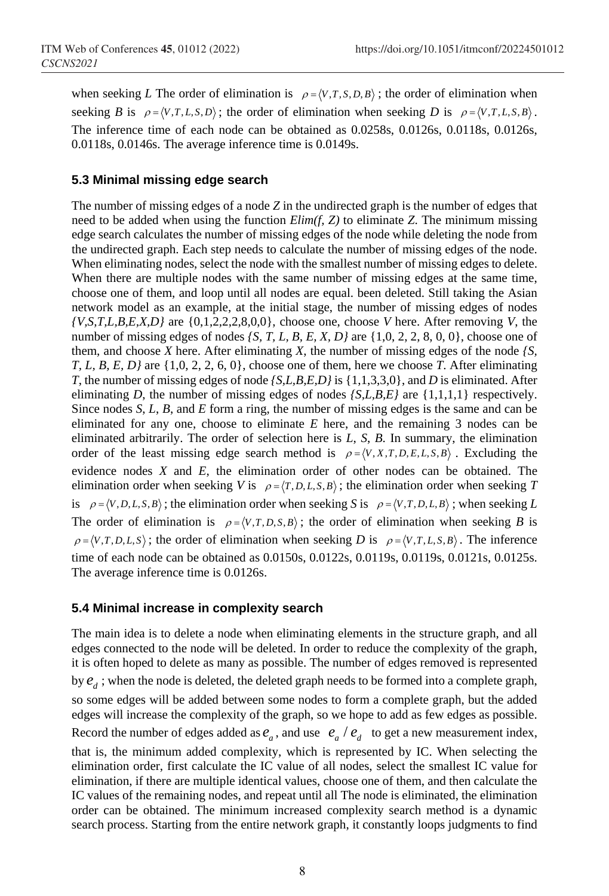when seeking *L* The order of elimination is  $\rho = \langle V, T, S, D, B \rangle$ ; the order of elimination when seeking *B* is  $\rho = \langle V, T, L, S, D \rangle$ ; the order of elimination when seeking *D* is  $\rho = \langle V, T, L, S, B \rangle$ . The inference time of each node can be obtained as 0.0258s, 0.0126s, 0.0118s, 0.0126s, 0.0118s, 0.0146s. The average inference time is 0.0149s.

#### **5.3 Minimal missing edge search**

The number of missing edges of a node *Z* in the undirected graph is the number of edges that need to be added when using the function *Elim(f, Z)* to eliminate *Z*. The minimum missing edge search calculates the number of missing edges of the node while deleting the node from the undirected graph. Each step needs to calculate the number of missing edges of the node. When eliminating nodes, select the node with the smallest number of missing edges to delete. When there are multiple nodes with the same number of missing edges at the same time, choose one of them, and loop until all nodes are equal. been deleted. Still taking the Asian network model as an example, at the initial stage, the number of missing edges of nodes  $\{V, S, T, L, B, E, X, D\}$  are  $\{0, 1, 2, 2, 2, 8, 0, 0\}$ , choose one, choose *V* here. After removing *V*, the number of missing edges of nodes *{S, T, L, B, E, X, D}* are {1,0, 2, 2, 8, 0, 0}, choose one of them, and choose  $X$  here. After eliminating  $X$ , the number of missing edges of the node  $/S$ , *T, L, B, E, D}* are {1,0, 2, 2, 6, 0}, choose one of them, here we choose *T*. After eliminating *T*, the number of missing edges of node *{S,L,B,E,D}* is {1,1,3,3,0}, and *D* is eliminated. After eliminating *D*, the number of missing edges of nodes *{S,L,B,E}* are {1,1,1,1} respectively. Since nodes *S*, *L*, *B*, and *E* form a ring, the number of missing edges is the same and can be eliminated for any one, choose to eliminate *E* here, and the remaining 3 nodes can be eliminated arbitrarily. The order of selection here is *L*, *S*, *B*. In summary, the elimination order of the least missing edge search method is  $\rho = \langle V, X, T, D, E, L, S, B \rangle$ . Excluding the evidence nodes *X* and *E*, the elimination order of other nodes can be obtained. The elimination order when seeking *V* is  $\rho = \langle T, D, L, S, B \rangle$ ; the elimination order when seeking *T* is  $\rho = \langle V, D, L, S, B \rangle$ ; the elimination order when seeking *S* is  $\rho = \langle V, T, D, L, B \rangle$ ; when seeking *L* The order of elimination is  $\rho = \langle V, T, D, S, B \rangle$ ; the order of elimination when seeking *B* is  $\rho = \langle V, T, D, L, S \rangle$ ; the order of elimination when seeking *D* is  $\rho = \langle V, T, L, S, B \rangle$ . The inference time of each node can be obtained as 0.0150s, 0.0122s, 0.0119s, 0.0119s, 0.0121s, 0.0125s. The average inference time is 0.0126s.

#### **5.4 Minimal increase in complexity search**

The main idea is to delete a node when eliminating elements in the structure graph, and all edges connected to the node will be deleted. In order to reduce the complexity of the graph, it is often hoped to delete as many as possible. The number of edges removed is represented by  $e_{d}$ ; when the node is deleted, the deleted graph needs to be formed into a complete graph, so some edges will be added between some nodes to form a complete graph, but the added edges will increase the complexity of the graph, so we hope to add as few edges as possible. Record the number of edges added as  $e_a$ , and use  $e_a / e_d$  to get a new measurement index, that is, the minimum added complexity, which is represented by IC. When selecting the elimination order, first calculate the IC value of all nodes, select the smallest IC value for elimination, if there are multiple identical values, choose one of them, and then calculate the IC values of the remaining nodes, and repeat until all The node is eliminated, the elimination order can be obtained. The minimum increased complexity search method is a dynamic search process. Starting from the entire network graph, it constantly loops judgments to find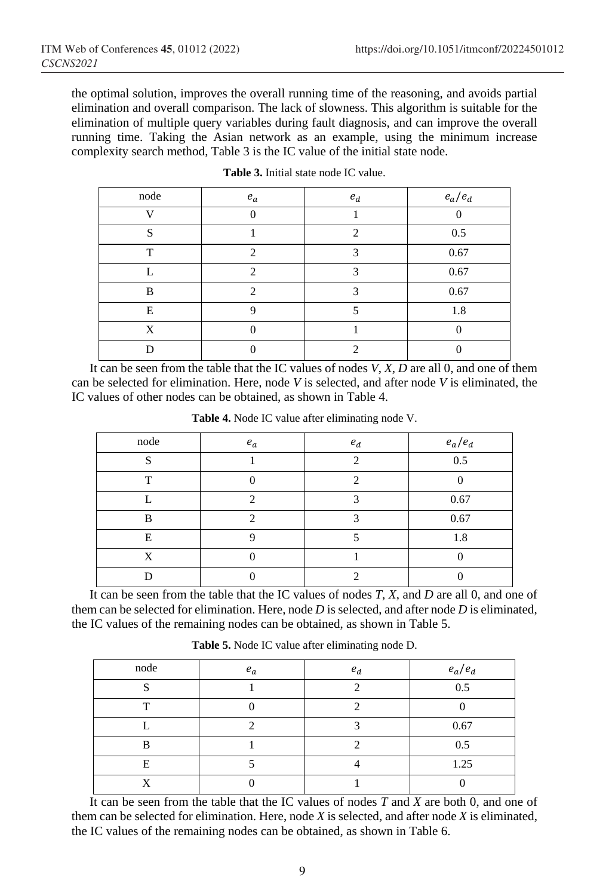the optimal solution, improves the overall running time of the reasoning, and avoids partial elimination and overall comparison. The lack of slowness. This algorithm is suitable for the elimination of multiple query variables during fault diagnosis, and can improve the overall running time. Taking the Asian network as an example, using the minimum increase complexity search method, Table 3 is the IC value of the initial state node.

| node         | $e_a$                       | $e_d$ | $e_a/e_d$ |
|--------------|-----------------------------|-------|-----------|
| $\mathbf{V}$ |                             |       |           |
| S            |                             | ◠     | 0.5       |
| T            | $\mathfrak{D}$              | ◠     | 0.67      |
|              | $\mathcal{D}_{\mathcal{A}}$ |       | 0.67      |
| B            | $\mathcal{D}_{\mathcal{A}}$ |       | 0.67      |
| E            | Q                           |       | 1.8       |
| X            |                             |       |           |
|              |                             |       |           |

**Table 3.** Initial state node IC value.

It can be seen from the table that the IC values of nodes *V*, *X*, *D* are all 0, and one of them can be selected for elimination. Here, node *V* is selected, and after node *V* is eliminated, the IC values of other nodes can be obtained, as shown in Table 4.

| node         | $e_a$ | $e_d$ | $e_a/e_d$ |
|--------------|-------|-------|-----------|
| $\mathbf{C}$ |       | ◠     | 0.5       |
| T            |       | ◠     |           |
|              | ◠     |       | 0.67      |
| B            | ◠     | ◠     | 0.67      |
| E            | റ     |       | 1.8       |
| X            |       |       |           |
|              |       |       |           |

**Table 4.** Node IC value after eliminating node V.

It can be seen from the table that the IC values of nodes *T*, *X*, and *D* are all 0, and one of them can be selected for elimination. Here, node *D* is selected, and after node *D* is eliminated, the IC values of the remaining nodes can be obtained, as shown in Table 5.

| node   | $e_a$ | $e_d$ | $e_a/e_d$ |
|--------|-------|-------|-----------|
| $\sim$ |       |       | 0.5       |
| ᠇᠇     |       |       |           |
|        |       |       | 0.67      |
| D      |       |       | 0.5       |
| E      |       |       | 1.25      |
|        |       |       |           |

**Table 5.** Node IC value after eliminating node D.

It can be seen from the table that the IC values of nodes *T* and *X* are both 0, and one of them can be selected for elimination. Here, node *X* is selected, and after node *X* is eliminated, the IC values of the remaining nodes can be obtained, as shown in Table 6.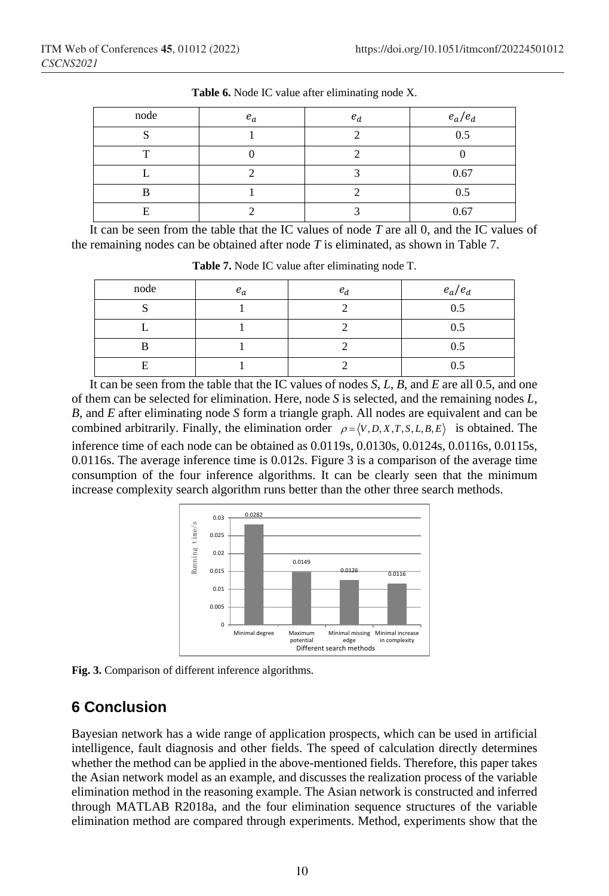| node | $e_a$ | $e_d$ | $e_a/e_d$ |
|------|-------|-------|-----------|
| ິ    |       |       | 0.5       |
| m    |       |       |           |
|      |       |       | 0.67      |
| R    |       |       | 0.5       |
| E    |       |       | 0.67      |

**Table 6.** Node IC value after eliminating node X.

It can be seen from the table that the IC values of node *T* are all 0, and the IC values of the remaining nodes can be obtained after node *T* is eliminated, as shown in Table 7.

| node | $e_a$ | $e_d$ | $e_a/e_d$ |
|------|-------|-------|-----------|
|      |       |       | 0.5       |
|      |       |       | 0.5       |
|      |       |       | 0.5       |
| Е    |       |       | 0.5       |

**Table 7.** Node IC value after eliminating node T.

It can be seen from the table that the IC values of nodes *S*, *L*, *B*, and *E* are all 0.5, and one of them can be selected for elimination. Here, node *S* is selected, and the remaining nodes *L*, *B*, and *E* after eliminating node *S* form a triangle graph. All nodes are equivalent and can be combined arbitrarily. Finally, the elimination order  $\rho = \langle V, D, X, T, S, L, B, E \rangle$  is obtained. The inference time of each node can be obtained as 0.0119s, 0.0130s, 0.0124s, 0.0116s, 0.0115s, 0.0116s. The average inference time is 0.012s. Figure 3 is a comparison of the average time consumption of the four inference algorithms. It can be clearly seen that the minimum increase complexity search algorithm runs better than the other three search methods.



**Fig. 3.** Comparison of different inference algorithms.

# **6 Conclusion**

Bayesian network has a wide range of application prospects, which can be used in artificial intelligence, fault diagnosis and other fields. The speed of calculation directly determines whether the method can be applied in the above-mentioned fields. Therefore, this paper takes the Asian network model as an example, and discusses the realization process of the variable elimination method in the reasoning example. The Asian network is constructed and inferred through MATLAB R2018a, and the four elimination sequence structures of the variable elimination method are compared through experiments. Method, experiments show that the